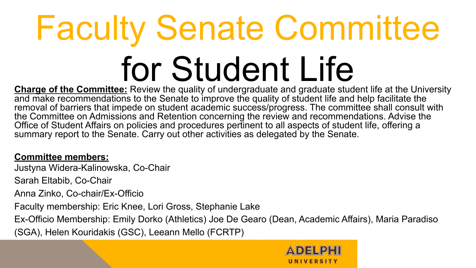# Faculty Senate Committee for Student Life

**Charge of the Committee:** Review the quality of undergraduate and graduate student life at the University and make recommendations to the Senate to improve the quality of student life and help facilitate the removal of barriers that impede on student academic success/progress. The committee shall consult with the Committee on Admissions and Retention concerning the review and recommendations. Advise the Office of Student Affairs on policies and procedures pertinent to all aspects of student life, offering a summary report to the Senate. Carry out other activities as delegated by the Senate.

#### **Committee members:**

Justyna Widera-Kalinowska, Co-Chair

Sarah Eltabib, Co-Chair

Anna Zinko, Co-chair/Ex-Officio

Faculty membership: Eric Knee, Lori Gross, Stephanie Lake

Ex-Officio Membership: Emily Dorko (Athletics) Joe De Gearo (Dean, Academic Affairs), Maria Paradiso (SGA), Helen Kouridakis (GSC), Leeann Mello (FCRTP)

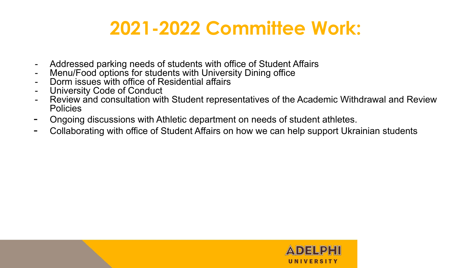#### **2021-2022 Committee Work:**

- Addressed parking needs of students with office of Student Affairs
- Menu/Food options for students with University Dining office
- Dorm issues with office of Residential affairs
- University Code of Conduct
- Review and consultation with Student representatives of the Academic Withdrawal and Review **Policies**
- Ongoing discussions with Athletic department on needs of student athletes.
- Collaborating with office of Student Affairs on how we can help support Ukrainian students

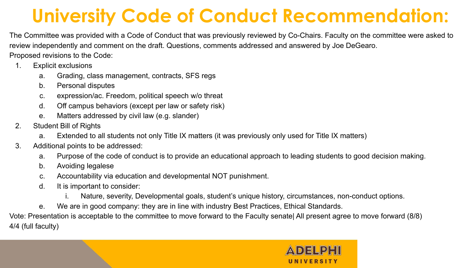## **University Code of Conduct Recommendation:**

The Committee was provided with a Code of Conduct that was previously reviewed by Co-Chairs. Faculty on the committee were asked to review independently and comment on the draft. Questions, comments addressed and answered by Joe DeGearo. Proposed revisions to the Code:

- 1. Explicit exclusions
	- a. Grading, class management, contracts, SFS regs
	- b. Personal disputes
	- c. expression/ac. Freedom, political speech w/o threat
	- d. Off campus behaviors (except per law or safety risk)
	- e. Matters addressed by civil law (e.g. slander)
- 2. Student Bill of Rights
	- a. Extended to all students not only Title IX matters (it was previously only used for Title IX matters)
- 3. Additional points to be addressed:
	- a. Purpose of the code of conduct is to provide an educational approach to leading students to good decision making.
	- b. Avoiding legalese
	- c. Accountability via education and developmental NOT punishment.
	- d. It is important to consider:
		- i. Nature, severity, Developmental goals, student's unique history, circumstances, non-conduct options.
	- e. We are in good company: they are in line with industry Best Practices, Ethical Standards.

Vote: Presentation is acceptable to the committee to move forward to the Faculty senate| All present agree to move forward (8/8) 4/4 (full faculty)

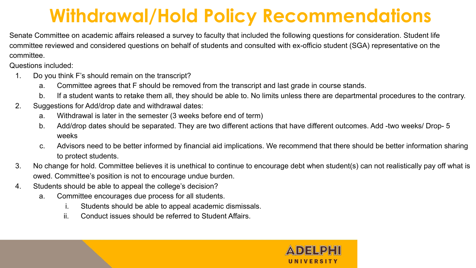## **Withdrawal/Hold Policy Recommendations**

Senate Committee on academic affairs released a survey to faculty that included the following questions for consideration. Student life committee reviewed and considered questions on behalf of students and consulted with ex-officio student (SGA) representative on the committee.

Questions included:

- 1. Do you think F's should remain on the transcript?
	- a. Committee agrees that F should be removed from the transcript and last grade in course stands.
	- b. If a student wants to retake them all, they should be able to. No limits unless there are departmental procedures to the contrary.
- 2. Suggestions for Add/drop date and withdrawal dates:
	- a. Withdrawal is later in the semester (3 weeks before end of term)
	- b. Add/drop dates should be separated. They are two different actions that have different outcomes. Add -two weeks/ Drop- 5 weeks
	- c. Advisors need to be better informed by financial aid implications. We recommend that there should be better information sharing to protect students.
- 3. No change for hold. Committee believes it is unethical to continue to encourage debt when student(s) can not realistically pay off what is owed. Committee's position is not to encourage undue burden.
- 4. Students should be able to appeal the college's decision?
	- a. Committee encourages due process for all students.
		- i. Students should be able to appeal academic dismissals.
		- ii. Conduct issues should be referred to Student Affairs.

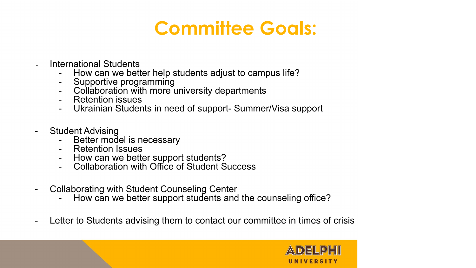#### **Committee Goals:**

- International Students
	- How can we better help students adjust to campus life?
	- Supportive programming
	- Collaboration with more university departments
	- Retention issues
	- Ukrainian Students in need of support- Summer/Visa support
- Student Advising
	- Better model is necessary
	- Retention Issues
	- How can we better support students?
	- Collaboration with Office of Student Success
- Collaborating with Student Counseling Center
	- How can we better support students and the counseling office?
- Letter to Students advising them to contact our committee in times of crisis

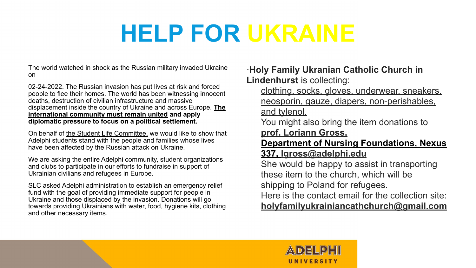## **HELP FOR UKRAINE**

The world watched in shock as the Russian military invaded Ukraine on

02-24-2022. The Russian invasion has put lives at risk and forced people to flee their homes. The world has been witnessing innocent deaths, destruction of civilian infrastructure and massive displacement inside the country of Ukraine and across Europe. **The international community must remain united and apply diplomatic pressure to focus on a political settlement.**

On behalf of the Student Life Committee, we would like to show that Adelphi students stand with the people and families whose lives have been affected by the Russian attack on Ukraine.

We are asking the entire Adelphi community, student organizations and clubs to participate in our efforts to fundraise in support of Ukrainian civilians and refugees in Europe.

SLC asked Adelphi administration to establish an emergency relief fund with the goal of providing immediate support for people in Ukraine and those displaced by the invasion. Donations will go towards providing Ukrainians with water, food, hygiene kits, clothing and other necessary items.

·**Holy Family Ukranian Catholic Church in Lindenhurst** is collecting:

clothing, socks, gloves, underwear, sneakers, neosporin, gauze, diapers, non-perishables, and tylenol.

You might also bring the item donations to **prof. Loriann Gross,**

**Department of Nursing Foundations, Nexus 337, lgross@adelphi.edu**

She would be happy to assist in transporting these item to the church, which will be shipping to Poland for refugees.

Here is the contact email for the collection site:

**holyfamilyukrainiancathchurch@gmail.com**